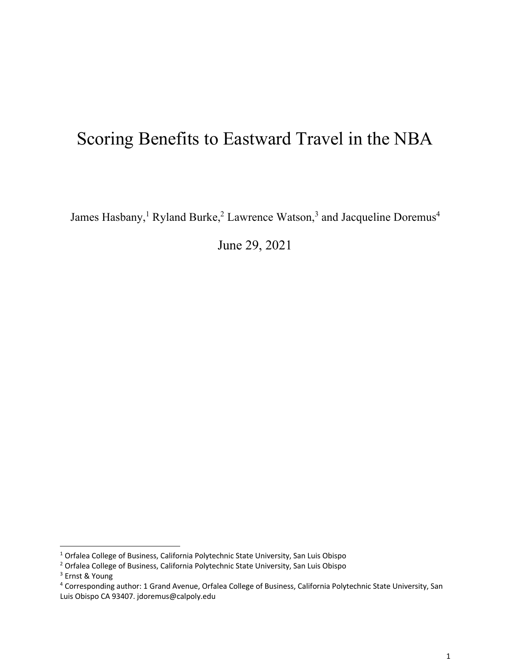# Scoring Benefits to Eastward Travel in the NBA

James Hasbany,<sup>1</sup> Ryland Burke,<sup>2</sup> Lawrence Watson,<sup>3</sup> and Jacqueline Doremus<sup>4</sup>

June 29, 2021

<sup>1</sup> Orfalea College of Business, California Polytechnic State University, San Luis Obispo

<sup>2</sup> Orfalea College of Business, California Polytechnic State University, San Luis Obispo

<sup>3</sup> Ernst & Young

<sup>4</sup> Corresponding author: 1 Grand Avenue, Orfalea College of Business, California Polytechnic State University, San Luis Obispo CA 93407. jdoremus@calpoly.edu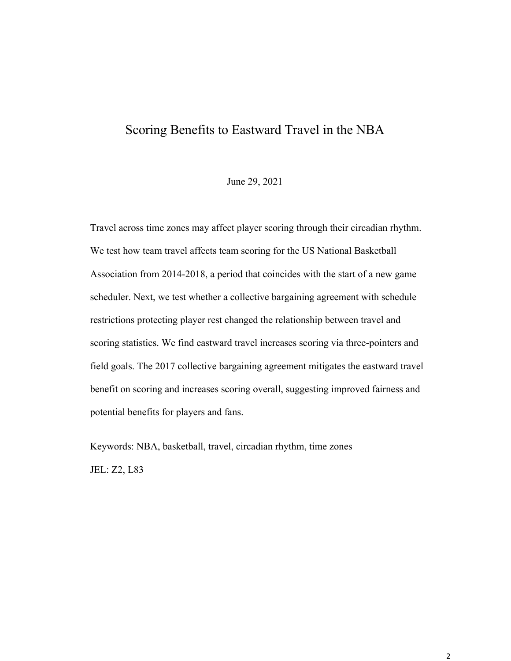## Scoring Benefits to Eastward Travel in the NBA

#### June 29, 2021

Travel across time zones may affect player scoring through their circadian rhythm. We test how team travel affects team scoring for the US National Basketball Association from 2014-2018, a period that coincides with the start of a new game scheduler. Next, we test whether a collective bargaining agreement with schedule restrictions protecting player rest changed the relationship between travel and scoring statistics. We find eastward travel increases scoring via three-pointers and field goals. The 2017 collective bargaining agreement mitigates the eastward travel benefit on scoring and increases scoring overall, suggesting improved fairness and potential benefits for players and fans.

Keywords: NBA, basketball, travel, circadian rhythm, time zones JEL: Z2, L83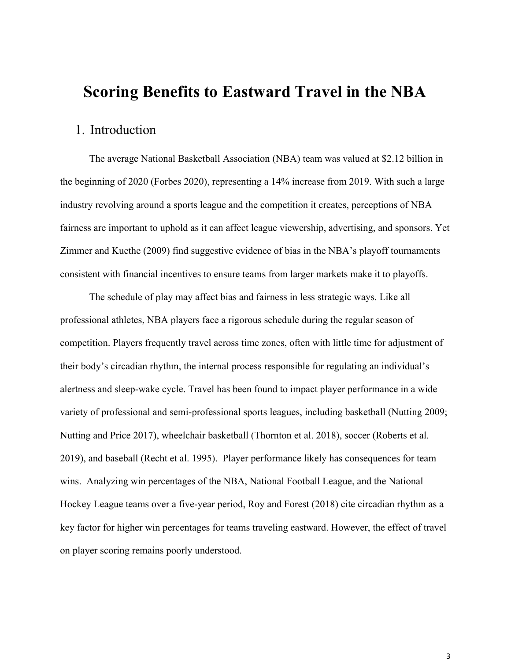## **Scoring Benefits to Eastward Travel in the NBA**

## 1. Introduction

The average National Basketball Association (NBA) team was valued at \$2.12 billion in the beginning of 2020 (Forbes 2020), representing a 14% increase from 2019. With such a large industry revolving around a sports league and the competition it creates, perceptions of NBA fairness are important to uphold as it can affect league viewership, advertising, and sponsors. Yet Zimmer and Kuethe (2009) find suggestive evidence of bias in the NBA's playoff tournaments consistent with financial incentives to ensure teams from larger markets make it to playoffs.

The schedule of play may affect bias and fairness in less strategic ways. Like all professional athletes, NBA players face a rigorous schedule during the regular season of competition. Players frequently travel across time zones, often with little time for adjustment of their body's circadian rhythm, the internal process responsible for regulating an individual's alertness and sleep-wake cycle. Travel has been found to impact player performance in a wide variety of professional and semi-professional sports leagues, including basketball (Nutting 2009; Nutting and Price 2017), wheelchair basketball (Thornton et al. 2018), soccer (Roberts et al. 2019), and baseball (Recht et al. 1995). Player performance likely has consequences for team wins. Analyzing win percentages of the NBA, National Football League, and the National Hockey League teams over a five-year period, Roy and Forest (2018) cite circadian rhythm as a key factor for higher win percentages for teams traveling eastward. However, the effect of travel on player scoring remains poorly understood.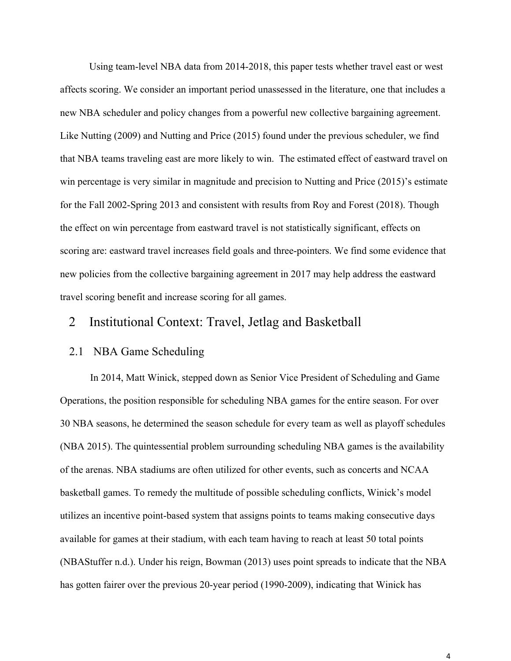Using team-level NBA data from 2014-2018, this paper tests whether travel east or west affects scoring. We consider an important period unassessed in the literature, one that includes a new NBA scheduler and policy changes from a powerful new collective bargaining agreement. Like Nutting (2009) and Nutting and Price (2015) found under the previous scheduler, we find that NBA teams traveling east are more likely to win. The estimated effect of eastward travel on win percentage is very similar in magnitude and precision to Nutting and Price (2015)'s estimate for the Fall 2002-Spring 2013 and consistent with results from Roy and Forest (2018). Though the effect on win percentage from eastward travel is not statistically significant, effects on scoring are: eastward travel increases field goals and three-pointers. We find some evidence that new policies from the collective bargaining agreement in 2017 may help address the eastward travel scoring benefit and increase scoring for all games.

### 2 Institutional Context: Travel, Jetlag and Basketball

#### 2.1 NBA Game Scheduling

In 2014, Matt Winick, stepped down as Senior Vice President of Scheduling and Game Operations, the position responsible for scheduling NBA games for the entire season. For over 30 NBA seasons, he determined the season schedule for every team as well as playoff schedules (NBA 2015). The quintessential problem surrounding scheduling NBA games is the availability of the arenas. NBA stadiums are often utilized for other events, such as concerts and NCAA basketball games. To remedy the multitude of possible scheduling conflicts, Winick's model utilizes an incentive point-based system that assigns points to teams making consecutive days available for games at their stadium, with each team having to reach at least 50 total points (NBAStuffer n.d.). Under his reign, Bowman (2013) uses point spreads to indicate that the NBA has gotten fairer over the previous 20-year period (1990-2009), indicating that Winick has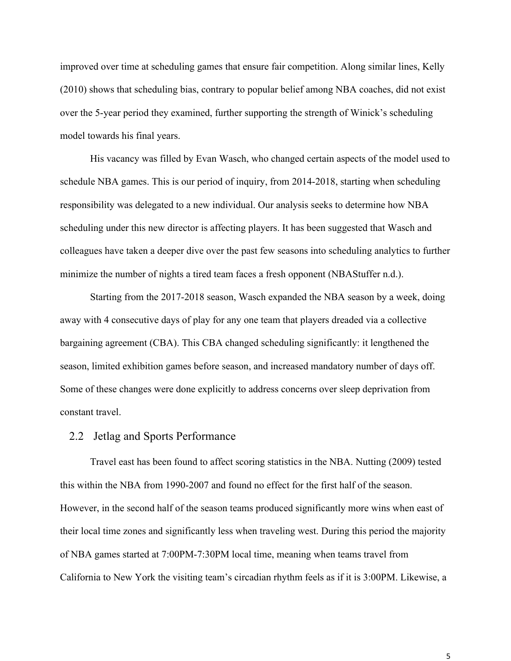improved over time at scheduling games that ensure fair competition. Along similar lines, Kelly (2010) shows that scheduling bias, contrary to popular belief among NBA coaches, did not exist over the 5-year period they examined, further supporting the strength of Winick's scheduling model towards his final years.

His vacancy was filled by Evan Wasch, who changed certain aspects of the model used to schedule NBA games. This is our period of inquiry, from 2014-2018, starting when scheduling responsibility was delegated to a new individual. Our analysis seeks to determine how NBA scheduling under this new director is affecting players. It has been suggested that Wasch and colleagues have taken a deeper dive over the past few seasons into scheduling analytics to further minimize the number of nights a tired team faces a fresh opponent (NBAStuffer n.d.).

Starting from the 2017-2018 season, Wasch expanded the NBA season by a week, doing away with 4 consecutive days of play for any one team that players dreaded via a collective bargaining agreement (CBA). This CBA changed scheduling significantly: it lengthened the season, limited exhibition games before season, and increased mandatory number of days off. Some of these changes were done explicitly to address concerns over sleep deprivation from constant travel.

#### 2.2 Jetlag and Sports Performance

Travel east has been found to affect scoring statistics in the NBA. Nutting (2009) tested this within the NBA from 1990-2007 and found no effect for the first half of the season. However, in the second half of the season teams produced significantly more wins when east of their local time zones and significantly less when traveling west. During this period the majority of NBA games started at 7:00PM-7:30PM local time, meaning when teams travel from California to New York the visiting team's circadian rhythm feels as if it is 3:00PM. Likewise, a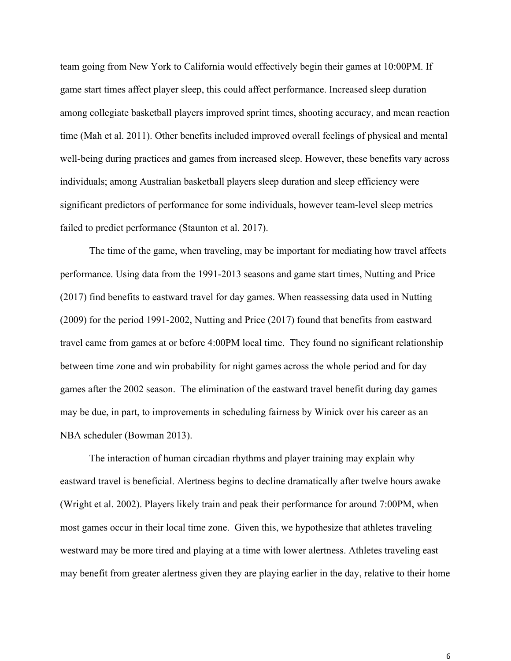team going from New York to California would effectively begin their games at 10:00PM. If game start times affect player sleep, this could affect performance. Increased sleep duration among collegiate basketball players improved sprint times, shooting accuracy, and mean reaction time (Mah et al. 2011). Other benefits included improved overall feelings of physical and mental well-being during practices and games from increased sleep. However, these benefits vary across individuals; among Australian basketball players sleep duration and sleep efficiency were significant predictors of performance for some individuals, however team-level sleep metrics failed to predict performance (Staunton et al. 2017).

The time of the game, when traveling, may be important for mediating how travel affects performance. Using data from the 1991-2013 seasons and game start times, Nutting and Price (2017) find benefits to eastward travel for day games. When reassessing data used in Nutting (2009) for the period 1991-2002, Nutting and Price (2017) found that benefits from eastward travel came from games at or before 4:00PM local time. They found no significant relationship between time zone and win probability for night games across the whole period and for day games after the 2002 season. The elimination of the eastward travel benefit during day games may be due, in part, to improvements in scheduling fairness by Winick over his career as an NBA scheduler (Bowman 2013).

The interaction of human circadian rhythms and player training may explain why eastward travel is beneficial. Alertness begins to decline dramatically after twelve hours awake (Wright et al. 2002). Players likely train and peak their performance for around 7:00PM, when most games occur in their local time zone. Given this, we hypothesize that athletes traveling westward may be more tired and playing at a time with lower alertness. Athletes traveling east may benefit from greater alertness given they are playing earlier in the day, relative to their home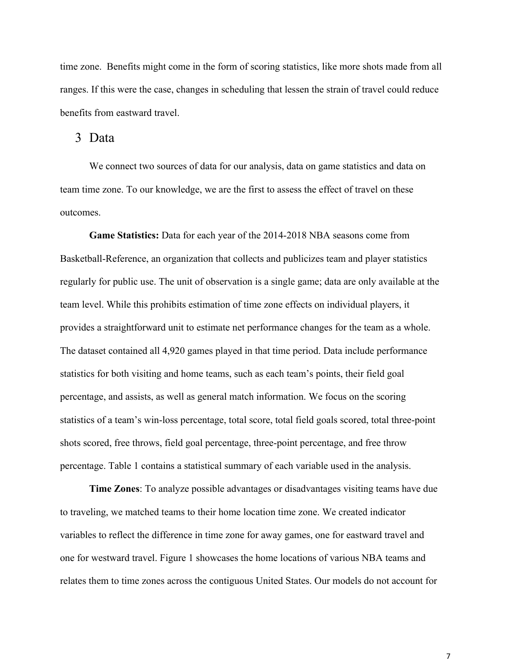time zone. Benefits might come in the form of scoring statistics, like more shots made from all ranges. If this were the case, changes in scheduling that lessen the strain of travel could reduce benefits from eastward travel.

#### 3 Data

We connect two sources of data for our analysis, data on game statistics and data on team time zone. To our knowledge, we are the first to assess the effect of travel on these outcomes.

**Game Statistics:** Data for each year of the 2014-2018 NBA seasons come from Basketball-Reference, an organization that collects and publicizes team and player statistics regularly for public use. The unit of observation is a single game; data are only available at the team level. While this prohibits estimation of time zone effects on individual players, it provides a straightforward unit to estimate net performance changes for the team as a whole. The dataset contained all 4,920 games played in that time period. Data include performance statistics for both visiting and home teams, such as each team's points, their field goal percentage, and assists, as well as general match information. We focus on the scoring statistics of a team's win-loss percentage, total score, total field goals scored, total three-point shots scored, free throws, field goal percentage, three-point percentage, and free throw percentage. Table 1 contains a statistical summary of each variable used in the analysis.

**Time Zones**: To analyze possible advantages or disadvantages visiting teams have due to traveling, we matched teams to their home location time zone. We created indicator variables to reflect the difference in time zone for away games, one for eastward travel and one for westward travel. Figure 1 showcases the home locations of various NBA teams and relates them to time zones across the contiguous United States. Our models do not account for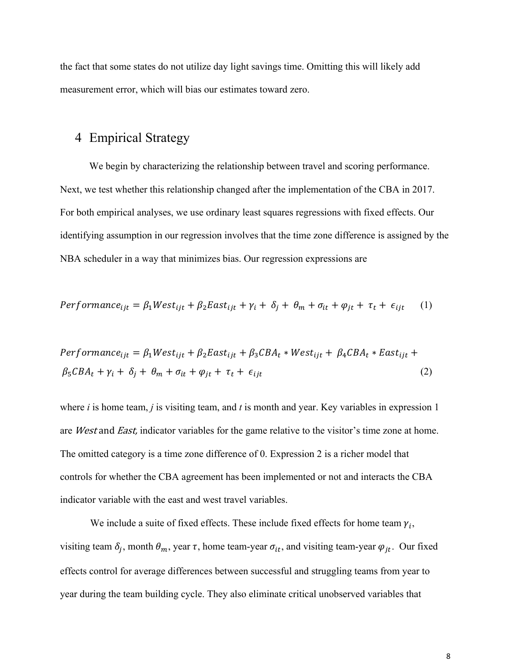the fact that some states do not utilize day light savings time. Omitting this will likely add measurement error, which will bias our estimates toward zero.

### 4 Empirical Strategy

We begin by characterizing the relationship between travel and scoring performance. Next, we test whether this relationship changed after the implementation of the CBA in 2017. For both empirical analyses, we use ordinary least squares regressions with fixed effects. Our identifying assumption in our regression involves that the time zone difference is assigned by the NBA scheduler in a way that minimizes bias. Our regression expressions are

$$
Performance_{ijt} = \beta_1 West_{ijt} + \beta_2 East_{ijt} + \gamma_i + \delta_j + \theta_m + \sigma_{it} + \varphi_{jt} + \tau_t + \epsilon_{ijt} \tag{1}
$$

$$
Performance_{ijt} = \beta_1 West_{ijt} + \beta_2 East_{ijt} + \beta_3 CBA_t * West_{ijt} + \beta_4 CBA_t * East_{ijt} + \n\beta_5 CBA_t + \gamma_i + \delta_j + \theta_m + \sigma_{it} + \varphi_{jt} + \tau_t + \epsilon_{ijt}
$$
\n(2)

where *i* is home team, *j* is visiting team, and *t* is month and year. Key variables in expression 1 are West and East, indicator variables for the game relative to the visitor's time zone at home. The omitted category is a time zone difference of 0. Expression 2 is a richer model that controls for whether the CBA agreement has been implemented or not and interacts the CBA indicator variable with the east and west travel variables.

We include a suite of fixed effects. These include fixed effects for home team  $\gamma_i$ , visiting team  $\delta_j$ , month  $\theta_m$ , year  $\tau$ , home team-year  $\sigma_{it}$ , and visiting team-year  $\varphi_{jt}$ . Our fixed effects control for average differences between successful and struggling teams from year to year during the team building cycle. They also eliminate critical unobserved variables that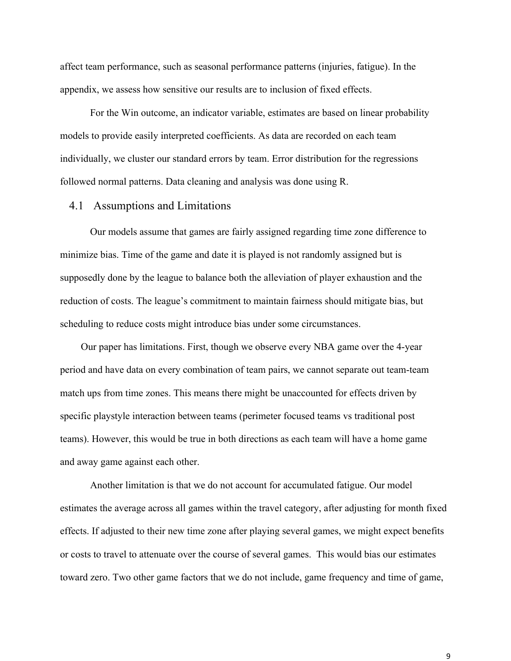affect team performance, such as seasonal performance patterns (injuries, fatigue). In the appendix, we assess how sensitive our results are to inclusion of fixed effects.

For the Win outcome, an indicator variable, estimates are based on linear probability models to provide easily interpreted coefficients. As data are recorded on each team individually, we cluster our standard errors by team. Error distribution for the regressions followed normal patterns. Data cleaning and analysis was done using R.

#### 4.1 Assumptions and Limitations

Our models assume that games are fairly assigned regarding time zone difference to minimize bias. Time of the game and date it is played is not randomly assigned but is supposedly done by the league to balance both the alleviation of player exhaustion and the reduction of costs. The league's commitment to maintain fairness should mitigate bias, but scheduling to reduce costs might introduce bias under some circumstances.

Our paper has limitations. First, though we observe every NBA game over the 4-year period and have data on every combination of team pairs, we cannot separate out team-team match ups from time zones. This means there might be unaccounted for effects driven by specific playstyle interaction between teams (perimeter focused teams vs traditional post teams). However, this would be true in both directions as each team will have a home game and away game against each other.

Another limitation is that we do not account for accumulated fatigue. Our model estimates the average across all games within the travel category, after adjusting for month fixed effects. If adjusted to their new time zone after playing several games, we might expect benefits or costs to travel to attenuate over the course of several games. This would bias our estimates toward zero. Two other game factors that we do not include, game frequency and time of game,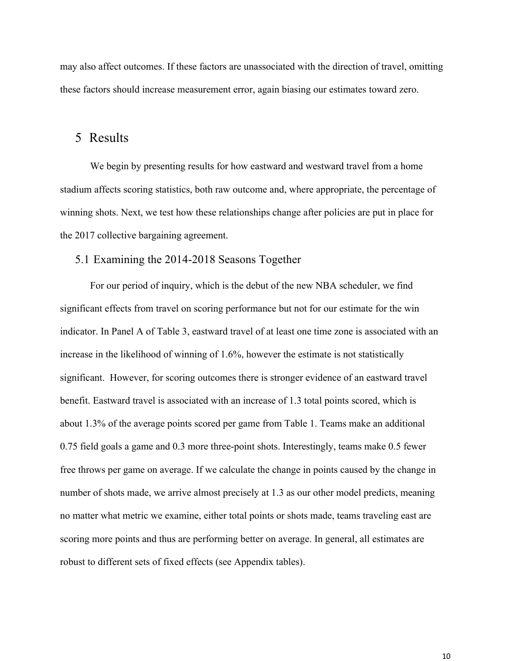may also affect outcomes. If these factors are unassociated with the direction of travel, omitting these factors should increase measurement error, again biasing our estimates toward zero.

### 5 Results

We begin by presenting results for how eastward and westward travel from a home stadium affects scoring statistics, both raw outcome and, where appropriate, the percentage of winning shots. Next, we test how these relationships change after policies are put in place for the 2017 collective bargaining agreement.

#### 5.1 Examining the 2014-2018 Seasons Together

For our period of inquiry, which is the debut of the new NBA scheduler, we find significant effects from travel on scoring performance but not for our estimate for the win indicator. In Panel A of Table 3, eastward travel of at least one time zone is associated with an increase in the likelihood of winning of 1.6%, however the estimate is not statistically significant. However, for scoring outcomes there is stronger evidence of an eastward travel benefit. Eastward travel is associated with an increase of 1.3 total points scored, which is about 1.3% of the average points scored per game from Table 1. Teams make an additional 0.75 field goals a game and 0.3 more three-point shots. Interestingly, teams make 0.5 fewer free throws per game on average. If we calculate the change in points caused by the change in number of shots made, we arrive almost precisely at 1.3 as our other model predicts, meaning no matter what metric we examine, either total points or shots made, teams traveling east are scoring more points and thus are performing better on average. In general, all estimates are robust to different sets of fixed effects (see Appendix tables).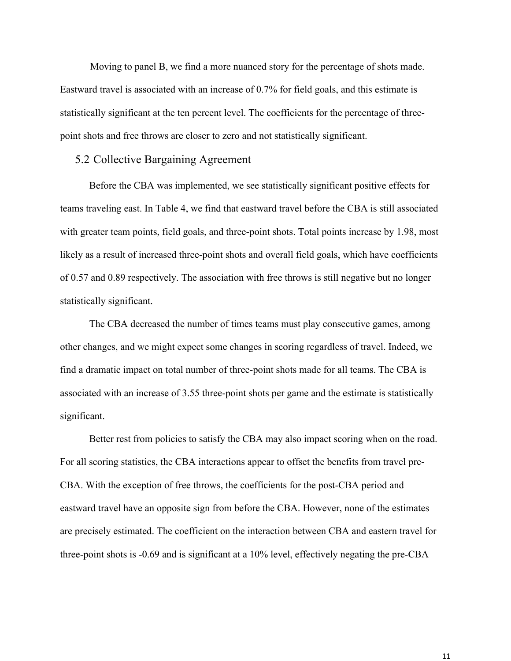Moving to panel B, we find a more nuanced story for the percentage of shots made. Eastward travel is associated with an increase of 0.7% for field goals, and this estimate is statistically significant at the ten percent level. The coefficients for the percentage of threepoint shots and free throws are closer to zero and not statistically significant.

#### 5.2 Collective Bargaining Agreement

Before the CBA was implemented, we see statistically significant positive effects for teams traveling east. In Table 4, we find that eastward travel before the CBA is still associated with greater team points, field goals, and three-point shots. Total points increase by 1.98, most likely as a result of increased three-point shots and overall field goals, which have coefficients of 0.57 and 0.89 respectively. The association with free throws is still negative but no longer statistically significant.

The CBA decreased the number of times teams must play consecutive games, among other changes, and we might expect some changes in scoring regardless of travel. Indeed, we find a dramatic impact on total number of three-point shots made for all teams. The CBA is associated with an increase of 3.55 three-point shots per game and the estimate is statistically significant.

Better rest from policies to satisfy the CBA may also impact scoring when on the road. For all scoring statistics, the CBA interactions appear to offset the benefits from travel pre-CBA. With the exception of free throws, the coefficients for the post-CBA period and eastward travel have an opposite sign from before the CBA. However, none of the estimates are precisely estimated. The coefficient on the interaction between CBA and eastern travel for three-point shots is -0.69 and is significant at a 10% level, effectively negating the pre-CBA

11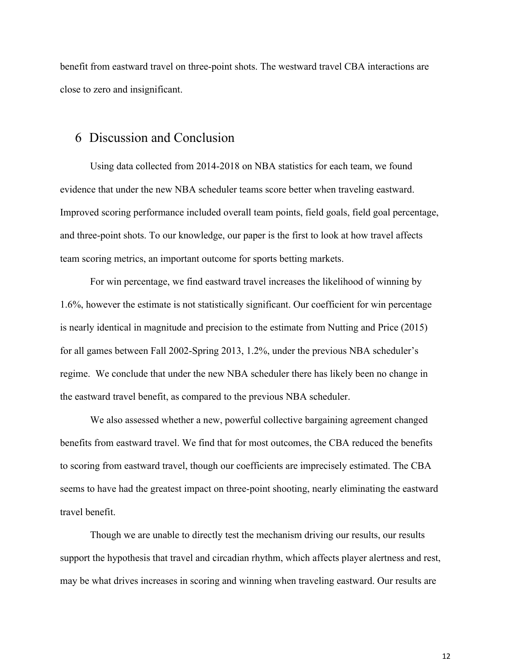benefit from eastward travel on three-point shots. The westward travel CBA interactions are close to zero and insignificant.

### 6 Discussion and Conclusion

Using data collected from 2014-2018 on NBA statistics for each team, we found evidence that under the new NBA scheduler teams score better when traveling eastward. Improved scoring performance included overall team points, field goals, field goal percentage, and three-point shots. To our knowledge, our paper is the first to look at how travel affects team scoring metrics, an important outcome for sports betting markets.

For win percentage, we find eastward travel increases the likelihood of winning by 1.6%, however the estimate is not statistically significant. Our coefficient for win percentage is nearly identical in magnitude and precision to the estimate from Nutting and Price (2015) for all games between Fall 2002-Spring 2013, 1.2%, under the previous NBA scheduler's regime. We conclude that under the new NBA scheduler there has likely been no change in the eastward travel benefit, as compared to the previous NBA scheduler.

We also assessed whether a new, powerful collective bargaining agreement changed benefits from eastward travel. We find that for most outcomes, the CBA reduced the benefits to scoring from eastward travel, though our coefficients are imprecisely estimated. The CBA seems to have had the greatest impact on three-point shooting, nearly eliminating the eastward travel benefit.

Though we are unable to directly test the mechanism driving our results, our results support the hypothesis that travel and circadian rhythm, which affects player alertness and rest, may be what drives increases in scoring and winning when traveling eastward. Our results are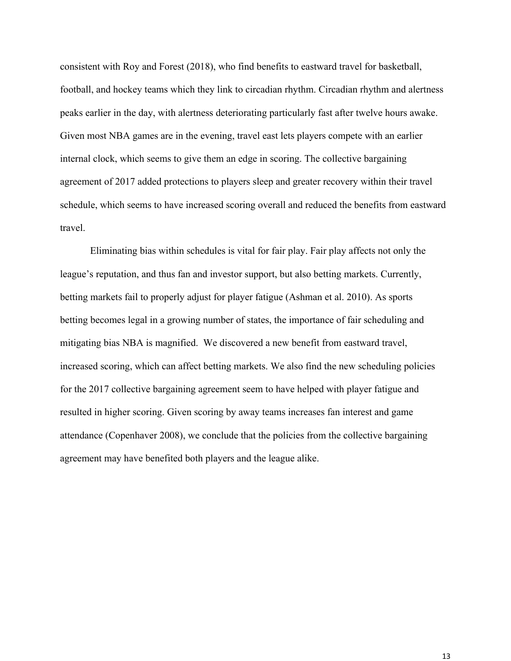consistent with Roy and Forest (2018), who find benefits to eastward travel for basketball, football, and hockey teams which they link to circadian rhythm. Circadian rhythm and alertness peaks earlier in the day, with alertness deteriorating particularly fast after twelve hours awake. Given most NBA games are in the evening, travel east lets players compete with an earlier internal clock, which seems to give them an edge in scoring. The collective bargaining agreement of 2017 added protections to players sleep and greater recovery within their travel schedule, which seems to have increased scoring overall and reduced the benefits from eastward travel.

Eliminating bias within schedules is vital for fair play. Fair play affects not only the league's reputation, and thus fan and investor support, but also betting markets. Currently, betting markets fail to properly adjust for player fatigue (Ashman et al. 2010). As sports betting becomes legal in a growing number of states, the importance of fair scheduling and mitigating bias NBA is magnified. We discovered a new benefit from eastward travel, increased scoring, which can affect betting markets. We also find the new scheduling policies for the 2017 collective bargaining agreement seem to have helped with player fatigue and resulted in higher scoring. Given scoring by away teams increases fan interest and game attendance (Copenhaver 2008), we conclude that the policies from the collective bargaining agreement may have benefited both players and the league alike.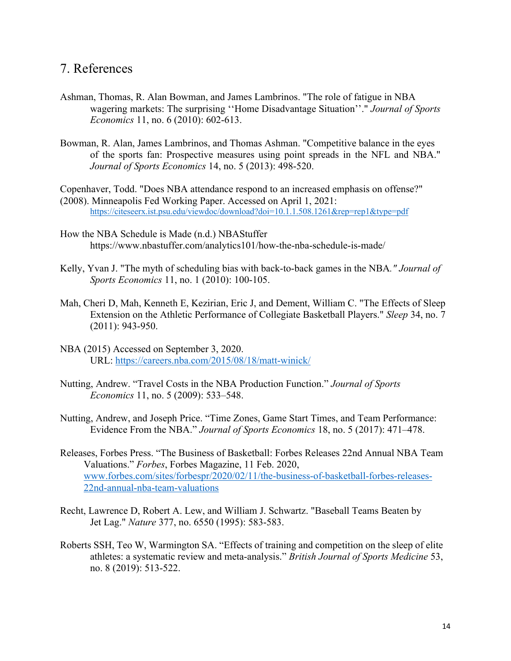### 7. References

- Ashman, Thomas, R. Alan Bowman, and James Lambrinos. "The role of fatigue in NBA wagering markets: The surprising ''Home Disadvantage Situation''." *Journal of Sports Economics* 11, no. 6 (2010): 602-613.
- Bowman, R. Alan, James Lambrinos, and Thomas Ashman. "Competitive balance in the eyes of the sports fan: Prospective measures using point spreads in the NFL and NBA." *Journal of Sports Economics* 14, no. 5 (2013): 498-520.

Copenhaver, Todd. "Does NBA attendance respond to an increased emphasis on offense?" (2008). Minneapolis Fed Working Paper. Accessed on April 1, 2021: https://citeseerx.ist.psu.edu/viewdoc/download?doi=10.1.1.508.1261&rep=rep1&type=pdf

- How the NBA Schedule is Made (n.d.) NBAStuffer https://www.nbastuffer.com/analytics101/how-the-nba-schedule-is-made/
- Kelly, Yvan J. "The myth of scheduling bias with back-to-back games in the NBA*." Journal of Sports Economics* 11, no. 1 (2010): 100-105.
- Mah, Cheri D, Mah, Kenneth E, Kezirian, Eric J, and Dement, William C. "The Effects of Sleep Extension on the Athletic Performance of Collegiate Basketball Players." *Sleep* 34, no. 7 (2011): 943-950.
- NBA (2015) Accessed on September 3, 2020. URL: https://careers.nba.com/2015/08/18/matt-winick/
- Nutting, Andrew. "Travel Costs in the NBA Production Function." *Journal of Sports Economics* 11, no. 5 (2009): 533–548.
- Nutting, Andrew, and Joseph Price. "Time Zones, Game Start Times, and Team Performance: Evidence From the NBA." *Journal of Sports Economics* 18, no. 5 (2017): 471–478.
- Releases, Forbes Press. "The Business of Basketball: Forbes Releases 22nd Annual NBA Team Valuations." *Forbes*, Forbes Magazine, 11 Feb. 2020, www.forbes.com/sites/forbespr/2020/02/11/the-business-of-basketball-forbes-releases-22nd-annual-nba-team-valuations
- Recht, Lawrence D, Robert A. Lew, and William J. Schwartz. "Baseball Teams Beaten by Jet Lag." *Nature* 377, no. 6550 (1995): 583-583.
- Roberts SSH, Teo W, Warmington SA. "Effects of training and competition on the sleep of elite athletes: a systematic review and meta-analysis." *British Journal of Sports Medicine* 53, no. 8 (2019): 513-522.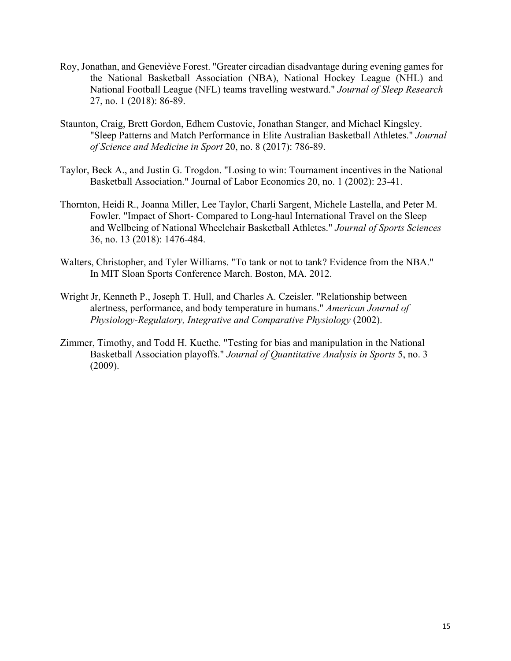- Roy, Jonathan, and Geneviève Forest. "Greater circadian disadvantage during evening games for the National Basketball Association (NBA), National Hockey League (NHL) and National Football League (NFL) teams travelling westward." *Journal of Sleep Research* 27, no. 1 (2018): 86-89.
- Staunton, Craig, Brett Gordon, Edhem Custovic, Jonathan Stanger, and Michael Kingsley. "Sleep Patterns and Match Performance in Elite Australian Basketball Athletes." *Journal of Science and Medicine in Sport* 20, no. 8 (2017): 786-89.
- Taylor, Beck A., and Justin G. Trogdon. "Losing to win: Tournament incentives in the National Basketball Association." Journal of Labor Economics 20, no. 1 (2002): 23-41.
- Thornton, Heidi R., Joanna Miller, Lee Taylor, Charli Sargent, Michele Lastella, and Peter M. Fowler. "Impact of Short- Compared to Long-haul International Travel on the Sleep and Wellbeing of National Wheelchair Basketball Athletes." *Journal of Sports Sciences* 36, no. 13 (2018): 1476-484.
- Walters, Christopher, and Tyler Williams. "To tank or not to tank? Evidence from the NBA." In MIT Sloan Sports Conference March. Boston, MA. 2012.
- Wright Jr, Kenneth P., Joseph T. Hull, and Charles A. Czeisler. "Relationship between alertness, performance, and body temperature in humans." *American Journal of Physiology-Regulatory, Integrative and Comparative Physiology* (2002).
- Zimmer, Timothy, and Todd H. Kuethe. "Testing for bias and manipulation in the National Basketball Association playoffs." *Journal of Quantitative Analysis in Sports* 5, no. 3 (2009).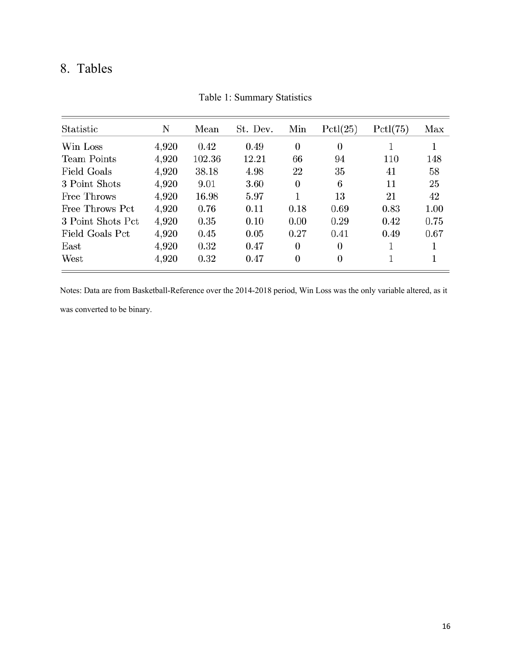## 8. Tables

| Statistic          | N     | Mean   | St. Dev. | Min            | Pctl(25)       | Pctl(75) | Max  |
|--------------------|-------|--------|----------|----------------|----------------|----------|------|
| Win Loss           | 4,920 | 0.42   | 0.49     | $\theta$       | 0              |          |      |
| <b>Team Points</b> | 4,920 | 102.36 | 12.21    | 66             | 94             | 110      | 148  |
| Field Goals        | 4,920 | 38.18  | 4.98     | 22             | 35             | 41       | 58   |
| 3 Point Shots      | 4,920 | 9.01   | 3.60     | 0              | 6              | 11       | 25   |
| Free Throws        | 4,920 | 16.98  | 5.97     |                | 13             | 21       | 42   |
| Free Throws Pct    | 4,920 | 0.76   | 0.11     | 0.18           | 0.69           | 0.83     | 1.00 |
| 3 Point Shots Pct  | 4,920 | 0.35   | 0.10     | 0.00           | 0.29           | 0.42     | 0.75 |
| Field Goals Pct    | 4,920 | 0.45   | 0.05     | 0.27           | 0.41           | 0.49     | 0.67 |
| $\rm East$         | 4,920 | 0.32   | 0.47     | 0              | 0              |          |      |
| West               | 4,920 | 0.32   | 0.47     | $\overline{0}$ | $\overline{0}$ | 1        |      |

Table 1: Summary Statistics

Notes: Data are from Basketball-Reference over the 2014-2018 period, Win Loss was the only variable altered, as it

was converted to be binary.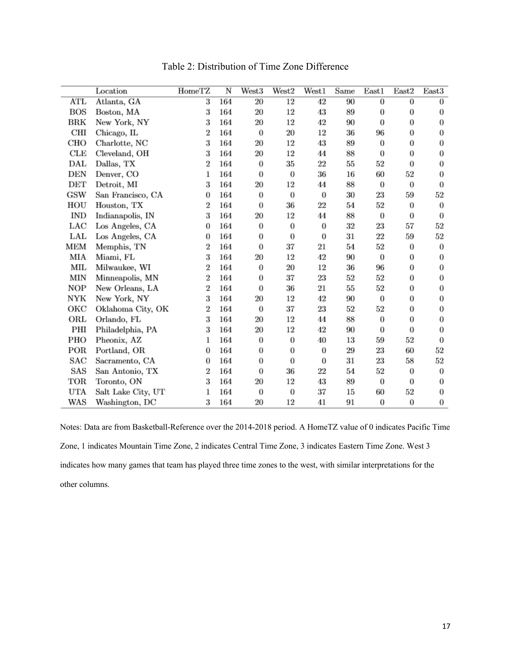|                   | Location           | HomeTZ           | $\overline{\text{N}}$ | West3            | West <sub>2</sub> | West1            | Same   | $_{\rm East1}$   | East2    | East3            |
|-------------------|--------------------|------------------|-----------------------|------------------|-------------------|------------------|--------|------------------|----------|------------------|
| <b>ATL</b>        | Atlanta, GA        | 3                | 164                   | 20               | 12                | 42               | 90     | 0                | 0        | 0                |
| BOS               | Boston, MA         | 3                | 164                   | $20\,$           | 12                | 43               | 89     | 0                | $\theta$ | $\theta$         |
| BRK               | New York, NY       | 3                | 164                   | $20\,$           | 12                | 42               | 90     | 0                | $\theta$ | $\theta$         |
| CШ                | Chicago, IL        | 2                | 164                   | $\theta$         | $^{20}$           | 12               | 36     | 96               | 0        | $\boldsymbol{0}$ |
| CHO               | Charlotte, NC      | 3                | 164                   | 20               | 12                | 43               | 89     | 0                | 0        | $\boldsymbol{0}$ |
| $_{\rm CLE}$      | Cleveland, OH      | 3                | 164                   | 20               | 12                | 44               | 88     | 0                | 0        | $\theta$         |
| DAL               | Dallas, TX         | $\boldsymbol{2}$ | 164                   | $\theta$         | 35                | $^{22}$          | 55     | 52               | $\theta$ | $\theta$         |
| DEN               | Denver, CO         | 1                | 164                   | $\boldsymbol{0}$ | 0                 | 36               | 16     | 60               | 52       | $\boldsymbol{0}$ |
| DET               | Detroit, MI        | 3                | 164                   | $^{20}$          | 12                | 44               | 88     | $\boldsymbol{0}$ | $\theta$ | $\bf{0}$         |
| GSW               | San Francisco, CA  | $\bf{0}$         | 164                   | 0                | 0                 | $\boldsymbol{0}$ | 30     | 23               | 59       | 52               |
| HOU               | Houston, TX        | 2                | 164                   | $\boldsymbol{0}$ | 36                | 22               | 54     | 52               | 0        | $\boldsymbol{0}$ |
| <b>IND</b>        | Indianapolis, IN   | 3                | 164                   | 20               | 12                | 44               | 88     | 0                | $\theta$ | $\bf{0}$         |
| LAC               | Los Angeles, CA    | 0                | 164                   | $\theta$         | 0                 | $\boldsymbol{0}$ | $32\,$ | 23               | 57       | 52               |
| LAL               | Los Angeles, CA    | 0                | 164                   | 0                | 0                 | $\bf{0}$         | 31     | 22               | 59       | 52               |
| MEM               | Memphis, TN        | $\overline{2}$   | 164                   | 0                | 37                | $^{21}$          | 54     | 52               | 0        | $\boldsymbol{0}$ |
| MIA               | Miami, FL          | 3                | 164                   | 20               | 12                | 42               | 90     | 0                | 0        | $\bf{0}$         |
| МIL               | Milwaukee, WI      | 2                | 164                   | $\theta$         | 20                | 12               | 36     | 96               | 0        | 0                |
| MIN               | Minneapolis, MN    | $\overline{2}$   | 164                   | $\theta$         | 37                | 23               | 52     | 52               | 0        | 0                |
| NOP               | New Orleans, LA    | 2                | 164                   | $\theta$         | 36                | $^{21}$          | 55     | 52               | $\theta$ | $\boldsymbol{0}$ |
| NYK               | New York, NY       | 3                | 164                   | 20               | 12                | 42               | 90     | 0                | $\theta$ | 0                |
| ОКС               | Oklahoma City, OK  | 2                | 164                   | 0                | 37                | 23               | 52     | 52               | 0        | $\boldsymbol{0}$ |
| ORL               | Orlando, FL        | 3                | 164                   | $20\,$           | 12                | 44               | 88     | 0                | 0        | $\bf{0}$         |
| PШ                | Philadelphia, PA   | 3                | 164                   | $^{20}$          | 12                | 42               | 90     | 0                | 0        | $\boldsymbol{0}$ |
| PHO               | Pheonix, AZ        | 1                | 164                   | 0                | 0                 | 40               | 13     | 59               | 52       | $\bf{0}$         |
| POR               | Portland, OR       | $\theta$         | 164                   | 0                | 0                 | $\theta$         | 29     | 23               | 60       | 52               |
| $_{\mathrm{SAC}}$ | Sacramento, CA     | 0                | 164                   | 0                | 0                 | $\theta$         | 31     | 23               | 58       | 52               |
| SAS               | San Antonio, TX    | $\overline{2}$   | 164                   | $\bf{0}$         | 36                | 22               | 54     | 52               | 0        | $\boldsymbol{0}$ |
| TOR               | Toronto, ON        | 3                | 164                   | 20               | 12                | 43               | 89     | 0                | $\theta$ | $\theta$         |
| UTA               | Salt Lake City, UT | 1                | 164                   | $\boldsymbol{0}$ | 0                 | 37               | 15     | 60               | 52       | $\boldsymbol{0}$ |
| WAS               | Washington, DC     | 3                | 164                   | 20               | 12                | 41               | 91     | 0                | 0        | $\boldsymbol{0}$ |

Table 2: Distribution of Time Zone Difference

Notes: Data are from Basketball-Reference over the 2014-2018 period. A HomeTZ value of 0 indicates Pacific Time Zone, 1 indicates Mountain Time Zone, 2 indicates Central Time Zone, 3 indicates Eastern Time Zone. West 3 indicates how many games that team has played three time zones to the west, with similar interpretations for the other columns.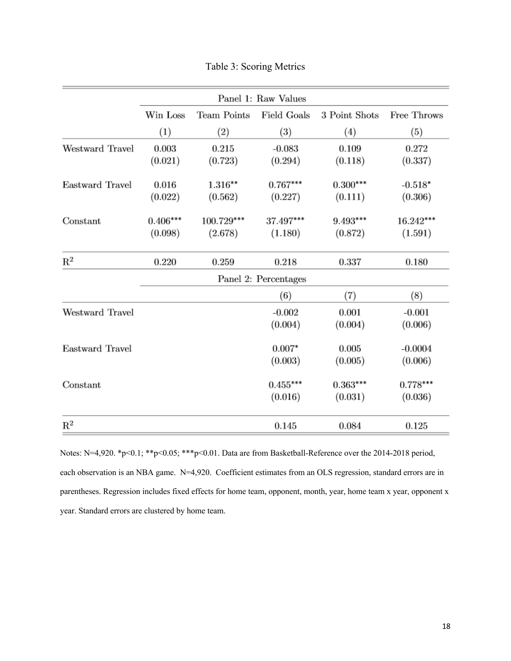|                 |                       |                       | Panel 1: Raw Values   |                       |                       |
|-----------------|-----------------------|-----------------------|-----------------------|-----------------------|-----------------------|
|                 | Win Loss              | Team Points           | <b>Field Goals</b>    | 3 Point Shots         | Free Throws           |
|                 | $\left(1\right)$      | (2)                   | (3)                   | $\left( 4\right)$     | (5)                   |
| Westward Travel | 0.003<br>(0.021)      | 0.215<br>(0.723)      | $-0.083$<br>(0.294)   | 0.109<br>(0.118)      | 0.272<br>(0.337)      |
| Eastward Travel | 0.016<br>(0.022)      | $1.316***$<br>(0.562) | $0.767***$<br>(0.227) | $0.300***$<br>(0.111) | $-0.518*$<br>(0.306)  |
| Constant        | $0.406***$<br>(0.098) | 100.729***<br>(2.678) | 37.497***<br>(1.180)  | $9.493***$<br>(0.872) | 16.242***<br>(1.591)  |
| $\rm R^2$       | 0.220                 | 0.259                 | 0.218                 | 0.337                 | 0.180                 |
|                 |                       |                       | Panel 2: Percentages  |                       |                       |
|                 |                       |                       | (6)                   | (7)                   | (8)                   |
| Westward Travel |                       |                       | $-0.002$<br>(0.004)   | 0.001<br>(0.004)      | $-0.001$<br>(0.006)   |
| Eastward Travel |                       |                       | $0.007*$<br>(0.003)   | 0.005<br>(0.005)      | $-0.0004$<br>(0.006)  |
| Constant        |                       |                       | $0.455***$<br>(0.016) | $0.363***$<br>(0.031) | $0.778***$<br>(0.036) |
| $\mathbf{R}^2$  |                       |                       | 0.145                 | 0.084                 | 0.125                 |

Table 3: Scoring Metrics

Notes: N=4,920. \*p<0.1; \*\*p<0.05; \*\*\*p<0.01. Data are from Basketball-Reference over the 2014-2018 period, each observation is an NBA game. N=4,920. Coefficient estimates from an OLS regression, standard errors are in parentheses. Regression includes fixed effects for home team, opponent, month, year, home team x year, opponent x year. Standard errors are clustered by home team.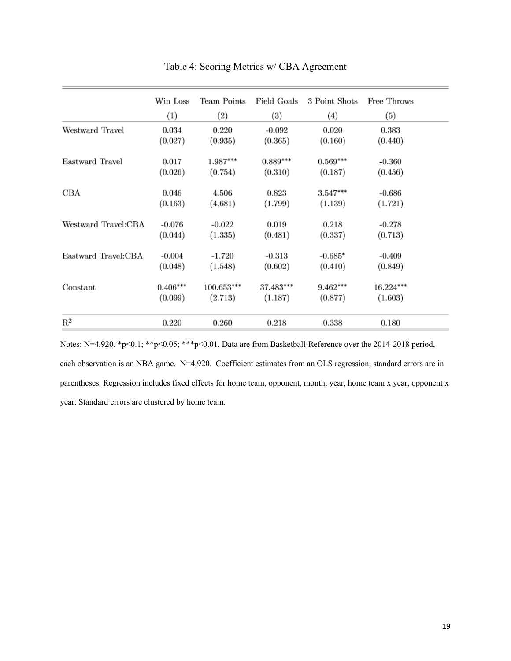|                     | Win Loss   | Team Points | Field Goals | 3 Point Shots     | Free Throws |
|---------------------|------------|-------------|-------------|-------------------|-------------|
|                     | (1)        | (2)         | (3)         | $\left( 4\right)$ | (5)         |
| Westward Travel     | 0.034      | 0.220       | $-0.092$    | 0.020             | 0.383       |
|                     | (0.027)    | (0.935)     | (0.365)     | (0.160)           | (0.440)     |
| Eastward Travel     | 0.017      | 1.987***    | $0.889***$  | $0.569***$        | $-0.360$    |
|                     | (0.026)    | (0.754)     | (0.310)     | (0.187)           | (0.456)     |
| CBA                 | 0.046      | 4.506       | 0.823       | $3.547***$        | $-0.686$    |
|                     | (0.163)    | (4.681)     | (1.799)     | (1.139)           | (1.721)     |
| Westward Travel:CBA | $-0.076$   | $-0.022$    | 0.019       | 0.218             | $-0.278$    |
|                     | (0.044)    | (1.335)     | (0.481)     | (0.337)           | (0.713)     |
| Eastward Travel:CBA | $-0.004$   | $-1.720$    | $-0.313$    | $-0.685*$         | $-0.409$    |
|                     | (0.048)    | (1.548)     | (0.602)     | (0.410)           | (0.849)     |
| Constant            | $0.406***$ | 100.653***  | 37.483***   | $9.462***$        | $16.224***$ |
|                     | (0.099)    | (2.713)     | (1.187)     | (0.877)           | (1.603)     |
| $\mathbf{R}^2$      | 0.220      | 0.260       | 0.218       | 0.338             | 0.180       |

Table 4: Scoring Metrics w/ CBA Agreement

Notes: N=4,920. \*p<0.1; \*\*p<0.05; \*\*\*p<0.01. Data are from Basketball-Reference over the 2014-2018 period, each observation is an NBA game. N=4,920. Coefficient estimates from an OLS regression, standard errors are in parentheses. Regression includes fixed effects for home team, opponent, month, year, home team x year, opponent x year. Standard errors are clustered by home team.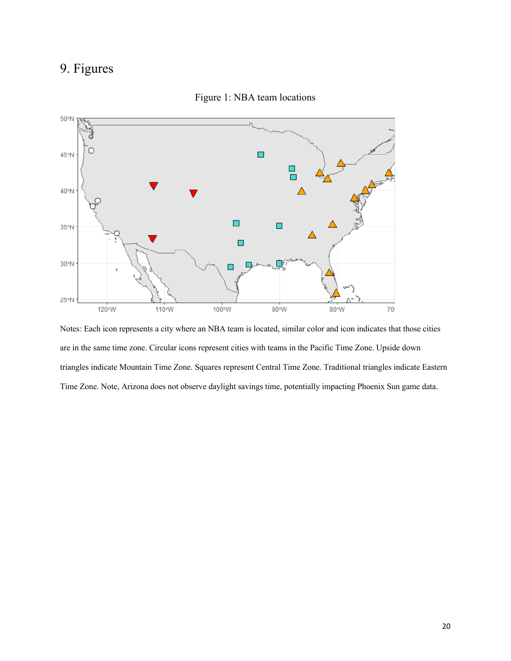## 9. Figures



Figure 1: NBA team locations

Notes: Each icon represents a city where an NBA team is located, similar color and icon indicates that those cities are in the same time zone. Circular icons represent cities with teams in the Pacific Time Zone. Upside down triangles indicate Mountain Time Zone. Squares represent Central Time Zone. Traditional triangles indicate Eastern Time Zone. Note, Arizona does not observe daylight savings time, potentially impacting Phoenix Sun game data.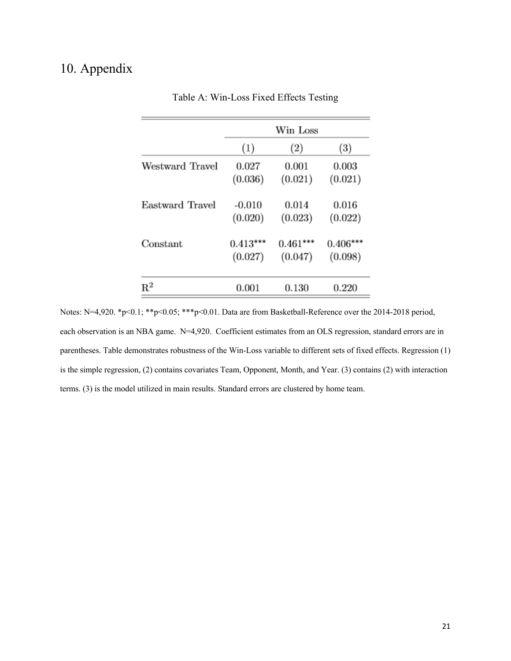## 10. Appendix

|                 | Win Loss   |            |                  |  |
|-----------------|------------|------------|------------------|--|
|                 | (1)        | (2)        | $\left(3\right)$ |  |
| Westward Travel | 0.027      | 0.001      | 0.003            |  |
|                 | (0.036)    | (0.021)    | (0.021)          |  |
| Eastward Travel | $-0.010$   | 0.014      | 0.016            |  |
|                 | (0.020)    | (0.023)    | (0.022)          |  |
| Constant        | $0.413***$ | $0.461***$ | $0.406***$       |  |
|                 | (0.027)    | (0.047)    | (0.098)          |  |
| $\mathrm{R}^2$  | 0.001      | 0.130      | 0.220            |  |

Table A: Win-Loss Fixed Effects Testing

Notes: N=4,920. \*p<0.1; \*\*p<0.05; \*\*\*p<0.01. Data are from Basketball-Reference over the 2014-2018 period, each observation is an NBA game. N=4,920. Coefficient estimates from an OLS regression, standard errors are in parentheses. Table demonstrates robustness of the Win-Loss variable to different sets of fixed effects. Regression (1) is the simple regression, (2) contains covariates Team, Opponent, Month, and Year. (3) contains (2) with interaction terms. (3) is the model utilized in main results. Standard errors are clustered by home team.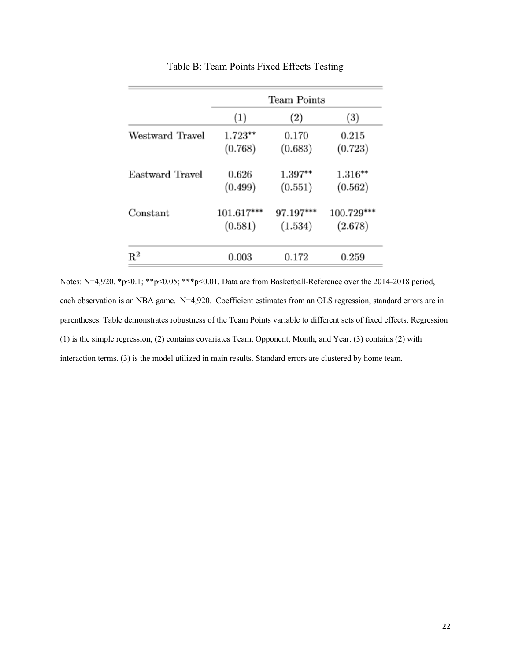|                 | Team Points |           |                  |  |
|-----------------|-------------|-----------|------------------|--|
|                 | (1)         | (2)       | $\left(3\right)$ |  |
| Westward Travel | $1.723**$   | 0.170     | 0.215            |  |
|                 | (0.768)     | (0.683)   | (0.723)          |  |
| Eastward Travel | 0.626       | $1.397**$ | $1.316**$        |  |
|                 | (0.499)     | (0.551)   | (0.562)          |  |
| Constant        | 101.617***  | 97.197*** | 100.729***       |  |
|                 | (0.581)     | (1.534)   | (2.678)          |  |
| $\mathrm{R}^2$  | 0.003       | 0.172     | 0.259            |  |

Table B: Team Points Fixed Effects Testing

Notes: N=4,920. \*p<0.1; \*\*p<0.05; \*\*\*p<0.01. Data are from Basketball-Reference over the 2014-2018 period, each observation is an NBA game. N=4,920. Coefficient estimates from an OLS regression, standard errors are in parentheses. Table demonstrates robustness of the Team Points variable to different sets of fixed effects. Regression (1) is the simple regression, (2) contains covariates Team, Opponent, Month, and Year. (3) contains (2) with interaction terms. (3) is the model utilized in main results. Standard errors are clustered by home team.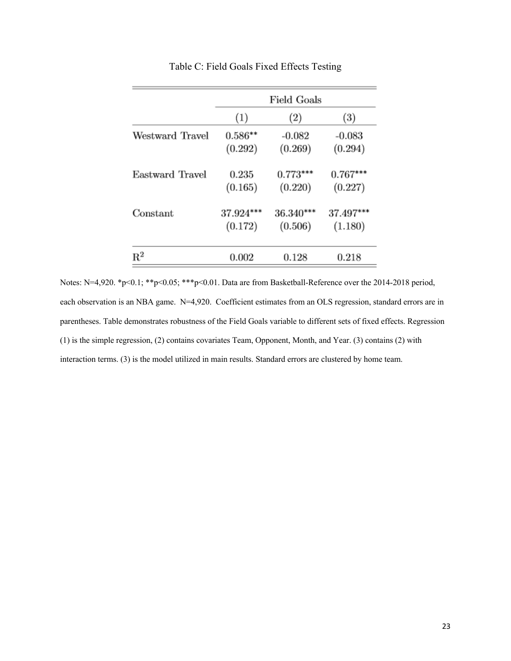|                 | Field Goals |            |                  |  |
|-----------------|-------------|------------|------------------|--|
|                 | (1)         | (2)        | $\left(3\right)$ |  |
| Westward Travel | $0.586**$   | $-0.082$   | $-0.083$         |  |
|                 | (0.292)     | (0.269)    | (0.294)          |  |
| Eastward Travel | 0.235       | $0.773***$ | $0.767***$       |  |
|                 | (0.165)     | (0.220)    | (0.227)          |  |
| Constant        | 37.924***   | 36.340***  | 37.497***        |  |
|                 | (0.172)     | (0.506)    | (1.180)          |  |
| $\mathrm{R}^2$  | 0.002       | 0.128      | 0.218            |  |

Table C: Field Goals Fixed Effects Testing

Notes: N=4,920. \*p<0.1; \*\*p<0.05; \*\*\*p<0.01. Data are from Basketball-Reference over the 2014-2018 period, each observation is an NBA game. N=4,920. Coefficient estimates from an OLS regression, standard errors are in parentheses. Table demonstrates robustness of the Field Goals variable to different sets of fixed effects. Regression (1) is the simple regression, (2) contains covariates Team, Opponent, Month, and Year. (3) contains (2) with interaction terms. (3) is the model utilized in main results. Standard errors are clustered by home team.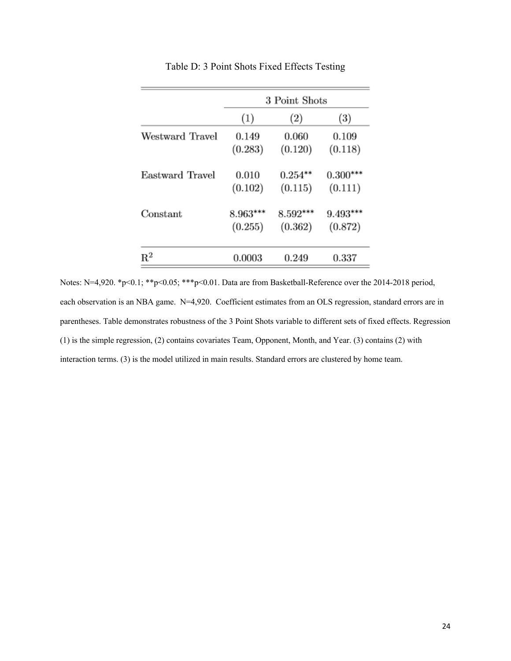|                 | 3 Point Shots |                   |                  |  |
|-----------------|---------------|-------------------|------------------|--|
|                 | (1)           | $\left( 2\right)$ | $\left(3\right)$ |  |
| Westward Travel | 0.149         | 0.060             | 0.109            |  |
|                 | (0.283)       | (0.120)           | (0.118)          |  |
| Eastward Travel | 0.010         | $0.254***$        | $0.300***$       |  |
|                 | (0.102)       | (0.115)           | (0.111)          |  |
| Constant        | $8.963***$    | $8.592***$        | $9.493***$       |  |
|                 | (0.255)       | (0.362)           | (0.872)          |  |
| $\mathrm{R}^2$  | 0.0003        | 0.249             | 0.337            |  |

Table D: 3 Point Shots Fixed Effects Testing

Notes: N=4,920. \*p<0.1; \*\*p<0.05; \*\*\*p<0.01. Data are from Basketball-Reference over the 2014-2018 period, each observation is an NBA game. N=4,920. Coefficient estimates from an OLS regression, standard errors are in parentheses. Table demonstrates robustness of the 3 Point Shots variable to different sets of fixed effects. Regression (1) is the simple regression, (2) contains covariates Team, Opponent, Month, and Year. (3) contains (2) with interaction terms. (3) is the model utilized in main results. Standard errors are clustered by home team.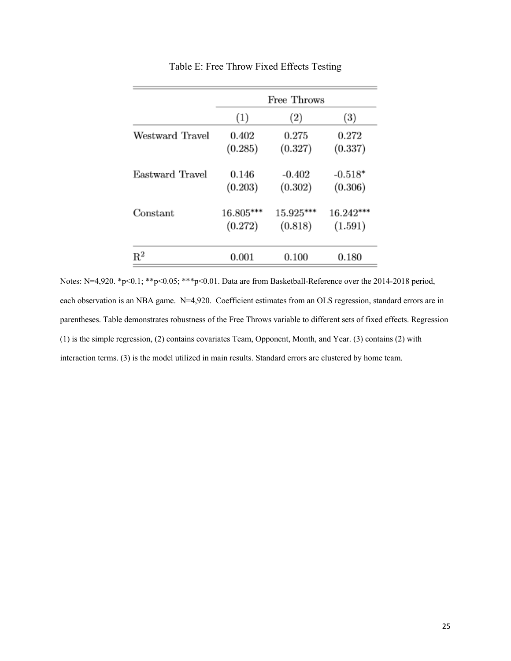|                 | Free Throws |             |                  |  |
|-----------------|-------------|-------------|------------------|--|
|                 | (1)         | (2)         | $\left(3\right)$ |  |
| Westward Travel | 0.402       | 0.275       | 0.272            |  |
|                 | (0.285)     | (0.327)     | (0.337)          |  |
| Eastward Travel | 0.146       | $-0.402$    | $-0.518*$        |  |
|                 | (0.203)     | (0.302)     | (0.306)          |  |
| Constant        | 16.805***   | $15.925***$ | $16.242***$      |  |
|                 | (0.272)     | (0.818)     | (1.591)          |  |
| $\mathrm{R}^2$  | 0.001       | 0.100       | 0.180            |  |

Table E: Free Throw Fixed Effects Testing

Notes: N=4,920. \*p<0.1; \*\*p<0.05; \*\*\*p<0.01. Data are from Basketball-Reference over the 2014-2018 period, each observation is an NBA game. N=4,920. Coefficient estimates from an OLS regression, standard errors are in parentheses. Table demonstrates robustness of the Free Throws variable to different sets of fixed effects. Regression (1) is the simple regression, (2) contains covariates Team, Opponent, Month, and Year. (3) contains (2) with interaction terms. (3) is the model utilized in main results. Standard errors are clustered by home team.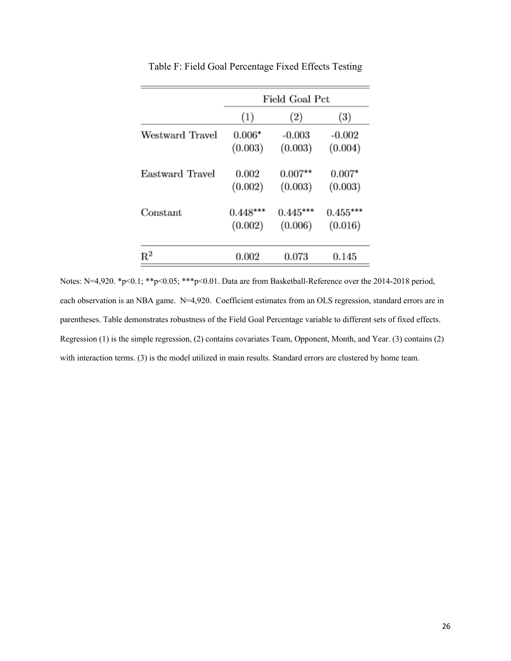|                 | Field Goal Pct |                   |                  |  |
|-----------------|----------------|-------------------|------------------|--|
|                 | (1)            | $\left( 2\right)$ | $\left(3\right)$ |  |
| Westward Travel | $0.006*$       | $-0.003$          | $-0.002$         |  |
|                 | (0.003)        | (0.003)           | (0.004)          |  |
| Eastward Travel | 0.002          | $0.007**$         | $0.007*$         |  |
|                 | (0.002)        | (0.003)           | (0.003)          |  |
| Constant        | $0.448***$     | $0.445***$        | $0.455***$       |  |
|                 | (0.002)        | (0.006)           | (0.016)          |  |
| $\mathrm{R}^2$  | 0.002          | 0.073             | 0.145            |  |

Table F: Field Goal Percentage Fixed Effects Testing

Notes: N=4,920. \*p<0.1; \*\*p<0.05; \*\*\*p<0.01. Data are from Basketball-Reference over the 2014-2018 period, each observation is an NBA game. N=4,920. Coefficient estimates from an OLS regression, standard errors are in parentheses. Table demonstrates robustness of the Field Goal Percentage variable to different sets of fixed effects. Regression (1) is the simple regression, (2) contains covariates Team, Opponent, Month, and Year. (3) contains (2) with interaction terms. (3) is the model utilized in main results. Standard errors are clustered by home team.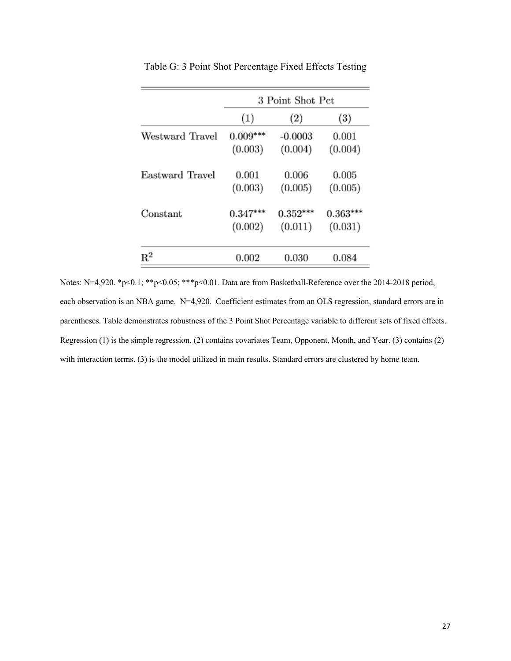|                 | 3 Point Shot Pct |            |                   |  |
|-----------------|------------------|------------|-------------------|--|
|                 | (1)              | (2)        | $\left( 3\right)$ |  |
| Westward Travel | $0.009***$       | $-0.0003$  | 0.001             |  |
|                 | (0.003)          | (0.004)    | (0.004)           |  |
| Eastward Travel | 0.001            | 0.006      | 0.005             |  |
|                 | (0.003)          | (0.005)    | (0.005)           |  |
| Constant        | $0.347***$       | $0.352***$ | $0.363***$        |  |
|                 | (0.002)          | (0.011)    | (0.031)           |  |
| $\mathrm{R}^2$  | 0.002            | 0.030      | 0.084             |  |

Table G: 3 Point Shot Percentage Fixed Effects Testing

Notes: N=4,920. \*p<0.1; \*\*p<0.05; \*\*\*p<0.01. Data are from Basketball-Reference over the 2014-2018 period, each observation is an NBA game. N=4,920. Coefficient estimates from an OLS regression, standard errors are in parentheses. Table demonstrates robustness of the 3 Point Shot Percentage variable to different sets of fixed effects. Regression (1) is the simple regression, (2) contains covariates Team, Opponent, Month, and Year. (3) contains (2) with interaction terms. (3) is the model utilized in main results. Standard errors are clustered by home team.